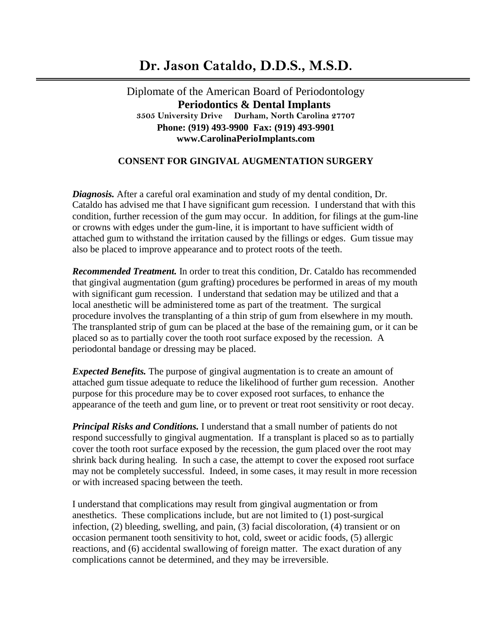## **Dr. Jason Cataldo, D.D.S., M.S.D.**

Diplomate of the American Board of Periodontology  **Periodontics & Dental Implants 3505 University Drive Durham, North Carolina 27707 Phone: (919) 493-9900 Fax: (919) 493-9901 www.CarolinaPerioImplants.com**

## **CONSENT FOR GINGIVAL AUGMENTATION SURGERY**

*Diagnosis.* After a careful oral examination and study of my dental condition, Dr. Cataldo has advised me that I have significant gum recession. I understand that with this condition, further recession of the gum may occur. In addition, for filings at the gum-line or crowns with edges under the gum-line, it is important to have sufficient width of attached gum to withstand the irritation caused by the fillings or edges. Gum tissue may also be placed to improve appearance and to protect roots of the teeth.

*Recommended Treatment.* In order to treat this condition, Dr. Cataldo has recommended that gingival augmentation (gum grafting) procedures be performed in areas of my mouth with significant gum recession. I understand that sedation may be utilized and that a local anesthetic will be administered tome as part of the treatment. The surgical procedure involves the transplanting of a thin strip of gum from elsewhere in my mouth. The transplanted strip of gum can be placed at the base of the remaining gum, or it can be placed so as to partially cover the tooth root surface exposed by the recession. A periodontal bandage or dressing may be placed.

*Expected Benefits.* The purpose of gingival augmentation is to create an amount of attached gum tissue adequate to reduce the likelihood of further gum recession. Another purpose for this procedure may be to cover exposed root surfaces, to enhance the appearance of the teeth and gum line, or to prevent or treat root sensitivity or root decay.

*Principal Risks and Conditions.* I understand that a small number of patients do not respond successfully to gingival augmentation. If a transplant is placed so as to partially cover the tooth root surface exposed by the recession, the gum placed over the root may shrink back during healing. In such a case, the attempt to cover the exposed root surface may not be completely successful. Indeed, in some cases, it may result in more recession or with increased spacing between the teeth.

I understand that complications may result from gingival augmentation or from anesthetics. These complications include, but are not limited to (1) post-surgical infection, (2) bleeding, swelling, and pain, (3) facial discoloration, (4) transient or on occasion permanent tooth sensitivity to hot, cold, sweet or acidic foods, (5) allergic reactions, and (6) accidental swallowing of foreign matter. The exact duration of any complications cannot be determined, and they may be irreversible.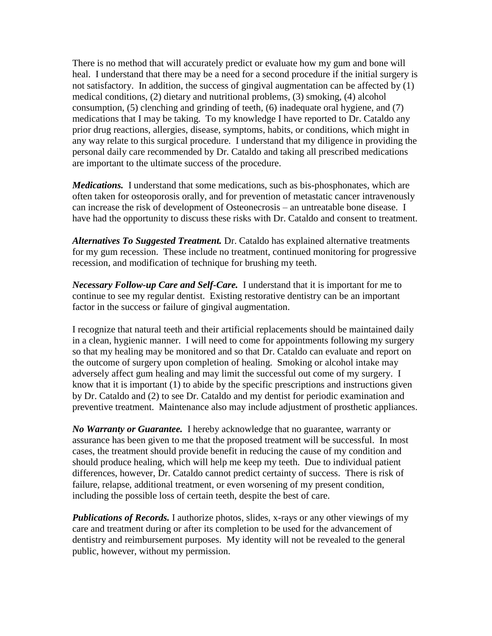There is no method that will accurately predict or evaluate how my gum and bone will heal. I understand that there may be a need for a second procedure if the initial surgery is not satisfactory. In addition, the success of gingival augmentation can be affected by (1) medical conditions, (2) dietary and nutritional problems, (3) smoking, (4) alcohol consumption, (5) clenching and grinding of teeth, (6) inadequate oral hygiene, and (7) medications that I may be taking. To my knowledge I have reported to Dr. Cataldo any prior drug reactions, allergies, disease, symptoms, habits, or conditions, which might in any way relate to this surgical procedure. I understand that my diligence in providing the personal daily care recommended by Dr. Cataldo and taking all prescribed medications are important to the ultimate success of the procedure.

*Medications.* I understand that some medications, such as bis-phosphonates, which are often taken for osteoporosis orally, and for prevention of metastatic cancer intravenously can increase the risk of development of Osteonecrosis – an untreatable bone disease. I have had the opportunity to discuss these risks with Dr. Cataldo and consent to treatment.

*Alternatives To Suggested Treatment.* Dr. Cataldo has explained alternative treatments for my gum recession. These include no treatment, continued monitoring for progressive recession, and modification of technique for brushing my teeth.

*Necessary Follow-up Care and Self-Care.* I understand that it is important for me to continue to see my regular dentist. Existing restorative dentistry can be an important factor in the success or failure of gingival augmentation.

I recognize that natural teeth and their artificial replacements should be maintained daily in a clean, hygienic manner. I will need to come for appointments following my surgery so that my healing may be monitored and so that Dr. Cataldo can evaluate and report on the outcome of surgery upon completion of healing. Smoking or alcohol intake may adversely affect gum healing and may limit the successful out come of my surgery. I know that it is important (1) to abide by the specific prescriptions and instructions given by Dr. Cataldo and (2) to see Dr. Cataldo and my dentist for periodic examination and preventive treatment. Maintenance also may include adjustment of prosthetic appliances.

*No Warranty or Guarantee.* I hereby acknowledge that no guarantee, warranty or assurance has been given to me that the proposed treatment will be successful. In most cases, the treatment should provide benefit in reducing the cause of my condition and should produce healing, which will help me keep my teeth. Due to individual patient differences, however, Dr. Cataldo cannot predict certainty of success. There is risk of failure, relapse, additional treatment, or even worsening of my present condition, including the possible loss of certain teeth, despite the best of care.

*Publications of Records.* I authorize photos, slides, x-rays or any other viewings of my care and treatment during or after its completion to be used for the advancement of dentistry and reimbursement purposes. My identity will not be revealed to the general public, however, without my permission.